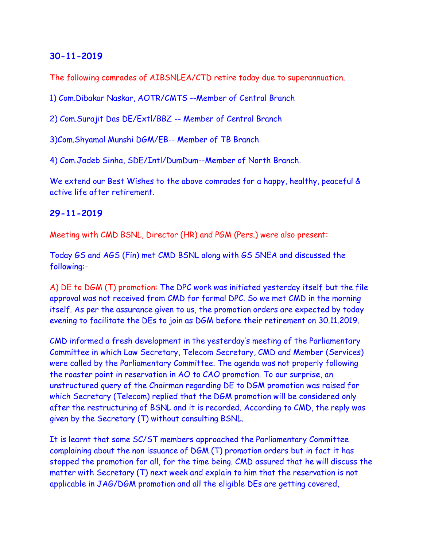The following comrades of AIBSNLEA/CTD retire today due to superannuation.

1) Com.Dibakar Naskar, AOTR/CMTS --Member of Central Branch

2) Com.Surajit Das DE/Extl/BBZ -- Member of Central Branch

3)Com.Shyamal Munshi DGM/EB-- Member of TB Branch

4) Com.Jadeb Sinha, SDE/Intl/DumDum--Member of North Branch.

We extend our Best Wishes to the above comrades for a happy, healthy, peaceful & active life after retirement.

#### **29-11-2019**

Meeting with CMD BSNL, Director (HR) and PGM (Pers.) were also present:

Today GS and AGS (Fin) met CMD BSNL along with GS SNEA and discussed the following:-

A) DE to DGM (T) promotion: The DPC work was initiated yesterday itself but the file approval was not received from CMD for formal DPC. So we met CMD in the morning itself. As per the assurance given to us, the promotion orders are expected by today evening to facilitate the DEs to join as DGM before their retirement on 30.11.2019.

CMD informed a fresh development in the yesterday's meeting of the Parliamentary Committee in which Law Secretary, Telecom Secretary, CMD and Member (Services) were called by the Parliamentary Committee. The agenda was not properly following the roaster point in reservation in AO to CAO promotion. To our surprise, an unstructured query of the Chairman regarding DE to DGM promotion was raised for which Secretary (Telecom) replied that the DGM promotion will be considered only after the restructuring of BSNL and it is recorded. According to CMD, the reply was given by the Secretary (T) without consulting BSNL.

It is learnt that some SC/ST members approached the Parliamentary Committee complaining about the non issuance of DGM (T) promotion orders but in fact it has stopped the promotion for all, for the time being. CMD assured that he will discuss the matter with Secretary (T) next week and explain to him that the reservation is not applicable in JAG/DGM promotion and all the eligible DEs are getting covered,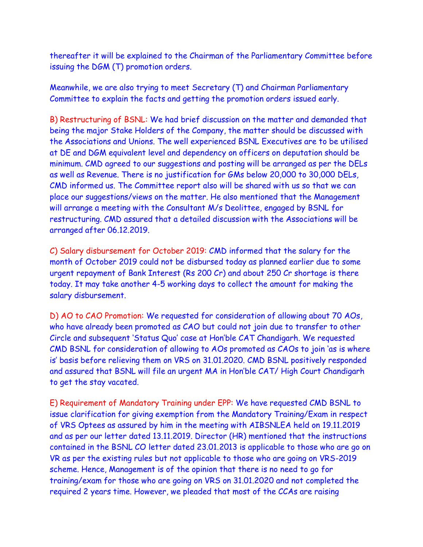thereafter it will be explained to the Chairman of the Parliamentary Committee before issuing the DGM (T) promotion orders.

Meanwhile, we are also trying to meet Secretary (T) and Chairman Parliamentary Committee to explain the facts and getting the promotion orders issued early.

B) Restructuring of BSNL: We had brief discussion on the matter and demanded that being the major Stake Holders of the Company, the matter should be discussed with the Associations and Unions. The well experienced BSNL Executives are to be utilised at DE and DGM equivalent level and dependency on officers on deputation should be minimum. CMD agreed to our suggestions and posting will be arranged as per the DELs as well as Revenue. There is no justification for GMs below 20,000 to 30,000 DELs, CMD informed us. The Committee report also will be shared with us so that we can place our suggestions/views on the matter. He also mentioned that the Management will arrange a meeting with the Consultant M/s Deolittee, engaged by BSNL for restructuring. CMD assured that a detailed discussion with the Associations will be arranged after 06.12.2019.

C) Salary disbursement for October 2019: CMD informed that the salary for the month of October 2019 could not be disbursed today as planned earlier due to some urgent repayment of Bank Interest (Rs 200 Cr) and about 250 Cr shortage is there today. It may take another 4-5 working days to collect the amount for making the salary disbursement.

D) AO to CAO Promotion: We requested for consideration of allowing about 70 AOs, who have already been promoted as CAO but could not join due to transfer to other Circle and subsequent 'Status Quo' case at Hon'ble CAT Chandigarh. We requested CMD BSNL for consideration of allowing to AOs promoted as CAOs to join 'as is where is' basis before relieving them on VRS on 31.01.2020. CMD BSNL positively responded and assured that BSNL will file an urgent MA in Hon'ble CAT/ High Court Chandigarh to get the stay vacated.

E) Requirement of Mandatory Training under EPP: We have requested CMD BSNL to issue clarification for giving exemption from the Mandatory Training/Exam in respect of VRS Optees as assured by him in the meeting with AIBSNLEA held on 19.11.2019 and as per our letter dated 13.11.2019. Director (HR) mentioned that the instructions contained in the BSNL CO letter dated 23.01.2013 is applicable to those who are go on VR as per the existing rules but not applicable to those who are going on VRS-2019 scheme. Hence, Management is of the opinion that there is no need to go for training/exam for those who are going on VRS on 31.01.2020 and not completed the required 2 years time. However, we pleaded that most of the CCAs are raising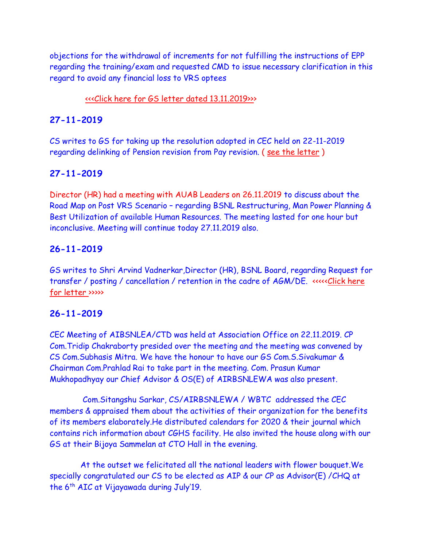objections for the withdrawal of increments for not fulfilling the instructions of EPP regarding the training/exam and requested CMD to issue necessary clarification in this regard to avoid any financial loss to VRS optees

## [<<<Click here for GS letter dated 13.11.2019>>>](http://www.aibsnleachq.in/New%20Doc%202019-11-13%2019.19.19_1%20(1)_191129.pdf)

## **27-11-2019**

CS writes to GS for taking up the resolution adopted in CEC held on 22-11-2019 regarding delinking of Pension revision from Pay revision. ( [see the letter](Resolution%20_pension.pdf) )

## **27-11-2019**

Director (HR) had a meeting with AUAB Leaders on 26.11.2019 to discuss about the Road Map on Post VRS Scenario – regarding BSNL Restructuring, Man Power Planning & Best Utilization of available Human Resources. The meeting lasted for one hour but inconclusive. Meeting will continue today 27.11.2019 also.

# **26-11-2019**

GS writes to Shri Arvind Vadnerkar,Director (HR), BSNL Board, regarding Request for transfer / posting / cancellation / retention in the cadre of AGM/DE. <<<<[<Click here](http://aibsnleawb.org/DIRHR_191126.pdf)  [for letter](http://aibsnleawb.org/DIRHR_191126.pdf) >>>>>

## **26-11-2019**

CEC Meeting of AIBSNLEA/CTD was held at Association Office on 22.11.2019. CP Com.Tridip Chakraborty presided over the meeting and the meeting was convened by CS Com.Subhasis Mitra. We have the honour to have our GS Com.S.Sivakumar & Chairman Com.Prahlad Rai to take part in the meeting. Com. Prasun Kumar Mukhopadhyay our Chief Advisor & OS(E) of AIRBSNLEWA was also present.

 Com.Sitangshu Sarkar, CS/AIRBSNLEWA / WBTC addressed the CEC members & appraised them about the activities of their organization for the benefits of its members elaborately.He distributed calendars for 2020 & their journal which contains rich information about CGHS facility. He also invited the house along with our GS at their Bijoya Sammelan at CTO Hall in the evening.

At the outset we felicitated all the national leaders with flower bouquet.We specially congratulated our CS to be elected as AIP & our CP as Advisor(E) /CHQ at the 6th AIC at Vijayawada during July'19.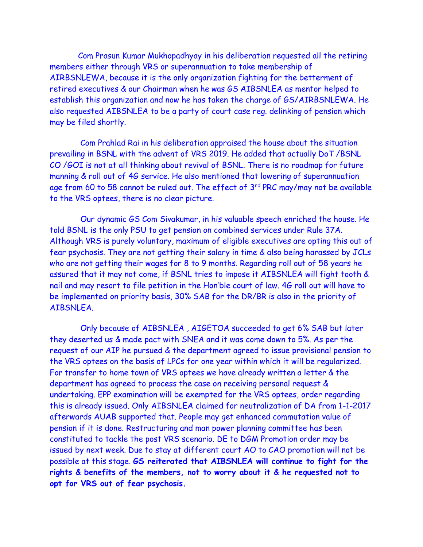Com Prasun Kumar Mukhopadhyay in his deliberation requested all the retiring members either through VRS or superannuation to take membership of AIRBSNLEWA, because it is the only organization fighting for the betterment of retired executives & our Chairman when he was GS AIBSNLEA as mentor helped to establish this organization and now he has taken the charge of GS/AIRBSNLEWA. He also requested AIBSNLEA to be a party of court case reg. delinking of pension which may be filed shortly.

 Com Prahlad Rai in his deliberation appraised the house about the situation prevailing in BSNL with the advent of VRS 2019. He added that actually DoT /BSNL CO /GOI is not at all thinking about revival of BSNL. There is no roadmap for future manning & roll out of 4G service. He also mentioned that lowering of superannuation age from 60 to 58 cannot be ruled out. The effect of  $3<sup>rd</sup> PRC$  may/may not be available to the VRS optees, there is no clear picture.

 Our dynamic GS Com Sivakumar, in his valuable speech enriched the house. He told BSNL is the only PSU to get pension on combined services under Rule 37A. Although VRS is purely voluntary, maximum of eligible executives are opting this out of fear psychosis. They are not getting their salary in time & also being harassed by JCLs who are not getting their wages for 8 to 9 months. Regarding roll out of 58 years he assured that it may not come, if BSNL tries to impose it AIBSNLEA will fight tooth & nail and may resort to file petition in the Hon'ble court of law. 4G roll out will have to be implemented on priority basis, 30% SAB for the DR/BR is also in the priority of AIBSNLEA.

 Only because of AIBSNLEA , AIGETOA succeeded to get 6% SAB but later they deserted us & made pact with SNEA and it was come down to 5%. As per the request of our AIP he pursued & the department agreed to issue provisional pension to the VRS optees on the basis of LPCs for one year within which it will be regularized. For transfer to home town of VRS optees we have already written a letter & the department has agreed to process the case on receiving personal request & undertaking. EPP examination will be exempted for the VRS optees, order regarding this is already issued. Only AIBSNLEA claimed for neutralization of DA from 1-1-2017 afterwards AUAB supported that. People may get enhanced commutation value of pension if it is done. Restructuring and man power planning committee has been constituted to tackle the post VRS scenario. DE to DGM Promotion order may be issued by next week. Due to stay at different court AO to CAO promotion will not be possible at this stage. **GS reiterated that AIBSNLEA will continue to fight for the rights & benefits of the members, not to worry about it & he requested not to opt for VRS out of fear psychosis.**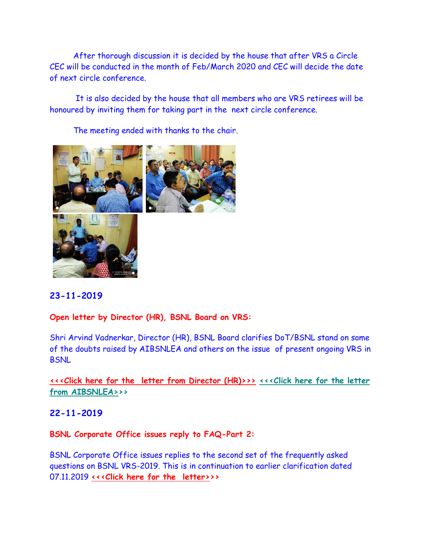After thorough discussion it is decided by the house that after VRS a Circle CEC will be conducted in the month of Feb/March 2020 and CEC will decide the date of next circle conference.

 It is also decided by the house that all members who are VRS retirees will be honoured by inviting them for taking part in the next circle conference.

The meeting ended with thanks to the chair.



# **23-11-2019**

## **Open letter by Director (HR), BSNL Board on VRS:**

Shri Arvind Vadnerkar, Director (HR), BSNL Board clarifies DoT/BSNL stand on some of the doubts raised by AIBSNLEA and others on the issue of present ongoing VRS in **BSNL** 

# **<<<Click here for the [letter from Director \(HR\)>>>](http://www.aibsnleachq.in/Message%20from%20Dir%20HR0001.pdf) [<<<Click here for the letter](http://www.aibsnleachq.in/Clafication-%20on%20VRS.pdf)  [from AIBSNLEA>>](http://www.aibsnleachq.in/Clafication-%20on%20VRS.pdf)>**

## **22-11-2019**

#### **BSNL Corporate Office issues reply to FAQ-Part 2:**

BSNL Corporate Office issues replies to the second set of the frequently asked questions on BSNL VRS-2019. This is in continuation to earlier clarification dated 07.11.2019 **[<<<Click here for the](http://www.aibsnleachq.in/BSNL%20VRS%20FAQ-2%20221119.pdf) letter>>>**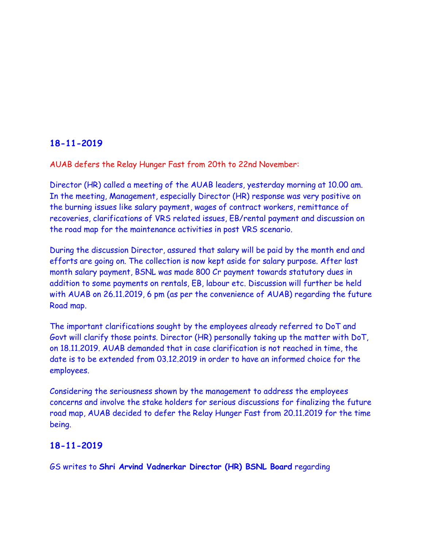AUAB defers the Relay Hunger Fast from 20th to 22nd November:

Director (HR) called a meeting of the AUAB leaders, yesterday morning at 10.00 am. In the meeting, Management, especially Director (HR) response was very positive on the burning issues like salary payment, wages of contract workers, remittance of recoveries, clarifications of VRS related issues, EB/rental payment and discussion on the road map for the maintenance activities in post VRS scenario.

During the discussion Director, assured that salary will be paid by the month end and efforts are going on. The collection is now kept aside for salary purpose. After last month salary payment, BSNL was made 800 Cr payment towards statutory dues in addition to some payments on rentals, EB, labour etc. Discussion will further be held with AUAB on 26.11.2019, 6 pm (as per the convenience of AUAB) regarding the future Road map.

The important clarifications sought by the employees already referred to DoT and Govt will clarify those points. Director (HR) personally taking up the matter with DoT, on 18.11.2019. AUAB demanded that in case clarification is not reached in time, the date is to be extended from 03.12.2019 in order to have an informed choice for the employees.

Considering the seriousness shown by the management to address the employees concerns and involve the stake holders for serious discussions for finalizing the future road map, AUAB decided to defer the Relay Hunger Fast from 20.11.2019 for the time being.

## **18-11-2019**

GS writes to **Shri Arvind Vadnerkar Director (HR) BSNL Board** regarding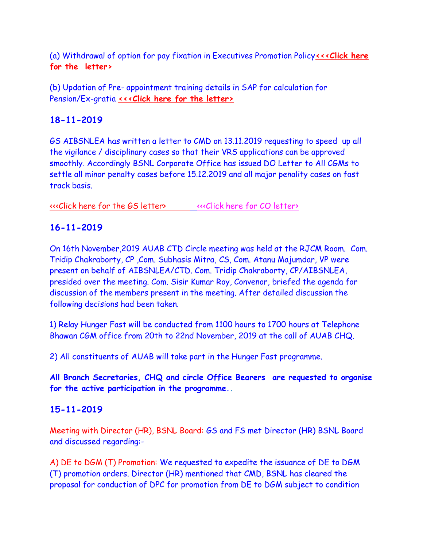(a) Withdrawal of option for pay fixation in Executives Promotion Policy**[<<<Click here](http://www.aibsnleachq.in/New%20Doc%202019-11-18%2017.12.46_1.pdf)  [for the](http://www.aibsnleachq.in/New%20Doc%202019-11-18%2017.12.46_1.pdf) letter>**

(b) Updation of Pre- appointment training details in SAP for calculation for Pension/Ex-gratia **<<< Click here for the letter>** 

# **18-11-2019**

GS AIBSNLEA has written a letter to CMD on 13.11.2019 requesting to speed up all the vigilance / disciplinary cases so that their VRS applications can be approved smoothly. Accordingly BSNL Corporate Office has issued DO Letter to All CGMs to settle all minor penalty cases before 15.12.2019 and all major penality cases on fast track basis.

[<<<Click here for the GS letter> <<<Click here for CO letter>](http://www.aibsnleachq.in/GS%20Lr%20on%20Vig.pdf)

# **16-11-2019**

On 16th November,2019 AUAB CTD Circle meeting was held at the RJCM Room. Com. Tridip Chakraborty, CP ,Com. Subhasis Mitra, CS, Com. Atanu Majumdar, VP were present on behalf of AIBSNLEA/CTD. Com. Tridip Chakraborty, CP/AIBSNLEA, presided over the meeting. Com. Sisir Kumar Roy, Convenor, briefed the agenda for discussion of the members present in the meeting. After detailed discussion the following decisions had been taken.

1) Relay Hunger Fast will be conducted from 1100 hours to 1700 hours at Telephone Bhawan CGM office from 20th to 22nd November, 2019 at the call of AUAB CHQ.

2) All constituents of AUAB will take part in the Hunger Fast programme.

**All Branch Secretaries, CHQ and circle Office Bearers are requested to organise for the active participation in the programme..**

# **15-11-2019**

Meeting with Director (HR), BSNL Board: GS and FS met Director (HR) BSNL Board and discussed regarding:-

A) DE to DGM (T) Promotion: We requested to expedite the issuance of DE to DGM (T) promotion orders. Director (HR) mentioned that CMD, BSNL has cleared the proposal for conduction of DPC for promotion from DE to DGM subject to condition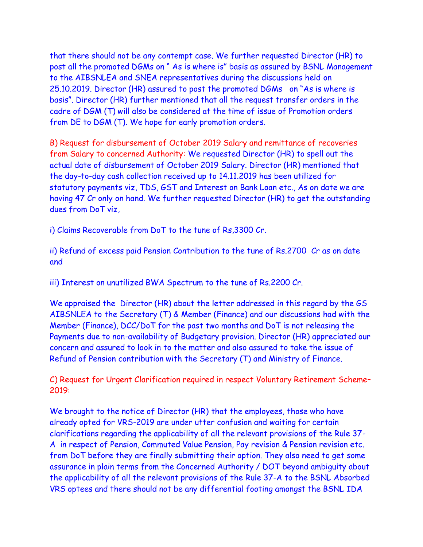that there should not be any contempt case. We further requested Director (HR) to post all the promoted DGMs on " As is where is" basis as assured by BSNL Management to the AIBSNLEA and SNEA representatives during the discussions held on 25.10.2019. Director (HR) assured to post the promoted DGMs on "As is where is basis". Director (HR) further mentioned that all the request transfer orders in the cadre of DGM (T) will also be considered at the time of issue of Promotion orders from DE to DGM (T). We hope for early promotion orders.

B) Request for disbursement of October 2019 Salary and remittance of recoveries from Salary to concerned Authority: We requested Director (HR) to spell out the actual date of disbursement of October 2019 Salary. Director (HR) mentioned that the day-to-day cash collection received up to 14.11.2019 has been utilized for statutory payments viz, TDS, GST and Interest on Bank Loan etc., As on date we are having 47 Cr only on hand. We further requested Director (HR) to get the outstanding dues from DoT viz,

i) Claims Recoverable from DoT to the tune of Rs,3300 Cr.

ii) Refund of excess paid Pension Contribution to the tune of Rs.2700 Cr as on date and

iii) Interest on unutilized BWA Spectrum to the tune of Rs.2200 Cr.

We appraised the Director (HR) about the letter addressed in this regard by the GS AIBSNLEA to the Secretary (T) & Member (Finance) and our discussions had with the Member (Finance), DCC/DoT for the past two months and DoT is not releasing the Payments due to non-availability of Budgetary provision. Director (HR) appreciated our concern and assured to look in to the matter and also assured to take the issue of Refund of Pension contribution with the Secretary (T) and Ministry of Finance.

C) Request for Urgent Clarification required in respect Voluntary Retirement Scheme– 2019:

We brought to the notice of Director (HR) that the employees, those who have already opted for VRS-2019 are under utter confusion and waiting for certain clarifications regarding the applicability of all the relevant provisions of the Rule 37- A in respect of Pension, Commuted Value Pension, Pay revision & Pension revision etc. from DoT before they are finally submitting their option. They also need to get some assurance in plain terms from the Concerned Authority / DOT beyond ambiguity about the applicability of all the relevant provisions of the Rule 37-A to the BSNL Absorbed VRS optees and there should not be any differential footing amongst the BSNL IDA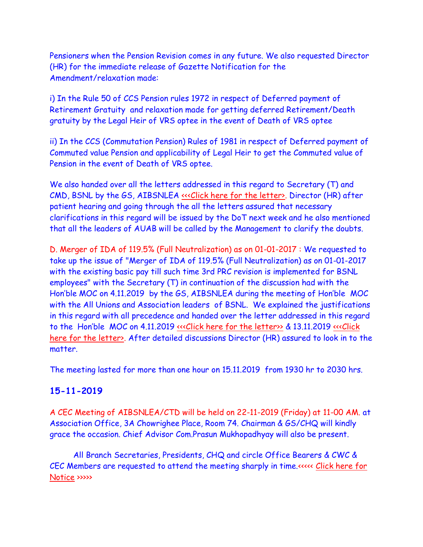Pensioners when the Pension Revision comes in any future. We also requested Director (HR) for the immediate release of Gazette Notification for the Amendment/relaxation made:

i) In the Rule 50 of CCS Pension rules 1972 in respect of Deferred payment of Retirement Gratuity and relaxation made for getting deferred Retirement/Death gratuity by the Legal Heir of VRS optee in the event of Death of VRS optee

ii) In the CCS (Commutation Pension) Rules of 1981 in respect of Deferred payment of Commuted value Pension and applicability of Legal Heir to get the Commuted value of Pension in the event of Death of VRS optee.

We also handed over all the letters addressed in this regard to Secretary (T) and CMD, BSNL by the GS, AIBSNLEA «<< Click here for the letter». Director (HR) after patient hearing and going through the all the letters assured that necessary clarifications in this regard will be issued by the DoT next week and he also mentioned that all the leaders of AUAB will be called by the Management to clarify the doubts.

D. Merger of IDA of 119.5% (Full Neutralization) as on 01-01-2017 : We requested to take up the issue of "Merger of IDA of 119.5% (Full Neutralization) as on 01-01-2017 with the existing basic pay till such time 3rd PRC revision is implemented for BSNL employees" with the Secretary (T) in continuation of the discussion had with the Hon'ble MOC on 4.11.2019 by the GS, AIBSNLEA during the meeting of Hon'ble MOC with the All Unions and Association leaders of BSNL. We explained the justifications in this regard with all precedence and handed over the letter addressed in this regard to the Hon'ble MOC on 4.11.2019 [<<<Click here for the letter>>](http://www.aibsnleachq.in/MOC_191104_1.PDF) & 13.11.2019 <<<Click [here for the letter>.](http://www.aibsnleachq.in/MOC_191113_1.pdf) After detailed discussions Director (HR) assured to look in to the matter.

The meeting lasted for more than one hour on 15.11.2019 from 1930 hr to 2030 hrs.

# **15-11-2019**

A CEC Meeting of AIBSNLEA/CTD will be held on 22-11-2019 (Friday) at 11-00 AM. at Association Office, 3A Chowrighee Place, Room 74. Chairman & GS/CHQ will kindly grace the occasion. Chief Advisor Com.Prasun Mukhopadhyay will also be present.

 All Branch Secretaries, Presidents, CHQ and circle Office Bearers & CWC & CEC Members are requested to attend the meeting sharply in time.<<<<< [Click here for](http://aibsnleawb.org/NOTICE%2014112019.pdf)  [Notice](http://aibsnleawb.org/NOTICE%2014112019.pdf) >>>>>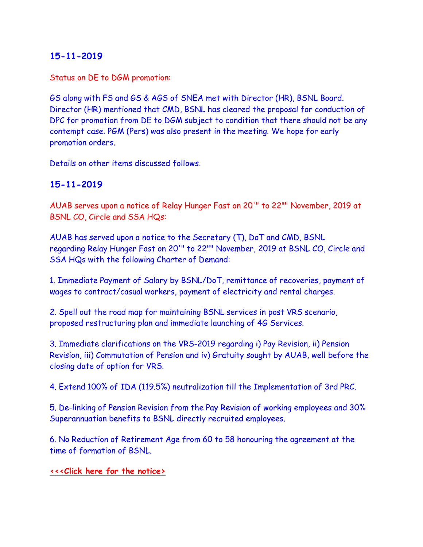Status on DE to DGM promotion:

GS along with FS and GS & AGS of SNEA met with Director (HR), BSNL Board. Director (HR) mentioned that CMD, BSNL has cleared the proposal for conduction of DPC for promotion from DE to DGM subject to condition that there should not be any contempt case. PGM (Pers) was also present in the meeting. We hope for early promotion orders.

Details on other items discussed follows.

# **15-11-2019**

AUAB serves upon a notice of Relay Hunger Fast on 20'" to 22"" November, 2019 at BSNL CO, Circle and SSA HQs:

AUAB has served upon a notice to the Secretary (T), DoT and CMD, BSNL regarding Relay Hunger Fast on 20'" to 22"" November, 2019 at BSNL CO, Circle and SSA HQs with the following Charter of Demand:

1. Immediate Payment of Salary by BSNL/DoT, remittance of recoveries, payment of wages to contract/casual workers, payment of electricity and rental charges.

2. Spell out the road map for maintaining BSNL services in post VRS scenario, proposed restructuring plan and immediate launching of 4G Services.

3. Immediate clarifications on the VRS-2019 regarding i) Pay Revision, ii) Pension Revision, iii) Commutation of Pension and iv) Gratuity sought by AUAB, well before the closing date of option for VRS.

4. Extend 100% of IDA (119.5%) neutralization till the Implementation of 3rd PRC.

5. De-linking of Pension Revision from the Pay Revision of working employees and 30% Superannuation benefits to BSNL directly recruited employees.

6. No Reduction of Retirement Age from 60 to 58 honouring the agreement at the time of formation of BSNL.

#### **[<<<Click here for the notice>](http://www.aibsnleachq.in/notification%20for%20relay%20hunger%20fast.pdf)**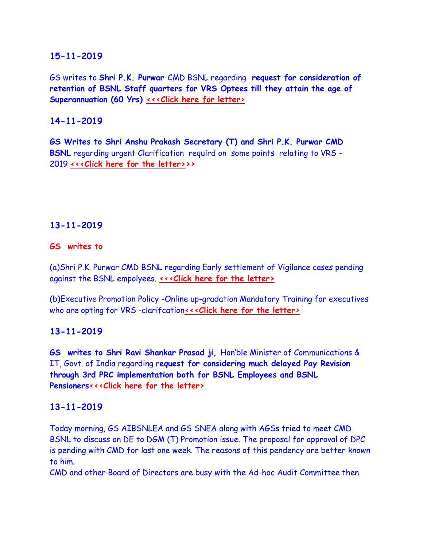GS writes to **Shri P.K. Purwar** CMD BSNL regarding **request for consideration of retention of BSNL Staff quarters for VRS Optees till they attain the age of Superannuation (60 Yrs) [<<<Click here for letter>](http://www.aibsnleachq.in/CMD_191115.pdf)**

# **14-11-2019**

**GS Writes to Shri Anshu Prakash Secretary (T) and Shri P.K. Purwar CMD BSNL** regarding urgent Clarification requird on some points relating to VRS - 2019 **[<<<Click here for the letter>>](http://www.aibsnleachq.in/Clafication-%20on%20VRS.pdf)>**

## **13-11-2019**

#### **GS writes to**

(a)Shri P.K. Purwar CMD BSNL regarding Early settlement of Vigilance cases pending against the BSNL empolyees. **[<<<Click here for the letter>](http://www.aibsnleachq.in/New%20Doc%202019-11-13%2019.19.19.pdf)**

(b)Executive Promotion Policy -Online up-gradation Mandatory Training for executives who are opting for VRS -clarifcation<<< Click here for the letter>

## **13-11-2019**

**GS writes to Shri Ravi Shankar Prasad ji,** Hon'ble Minister of Communications & IT, Govt. of India regarding r**equest for considering much delayed Pay Revision through 3rd PRC implementation both for BSNL Employees and BSNL Pensioner[s<<<Click here for the letter>](http://www.aibsnleachq.in/MOC_191113_1.pdf)**

## **13-11-2019**

Today morning, GS AIBSNLEA and GS SNEA along with AGSs tried to meet CMD BSNL to discuss on DE to DGM (T) Promotion issue. The proposal for approval of DPC is pending with CMD for last one week. The reasons of this pendency are better known to him.

CMD and other Board of Directors are busy with the Ad-hoc Audit Committee then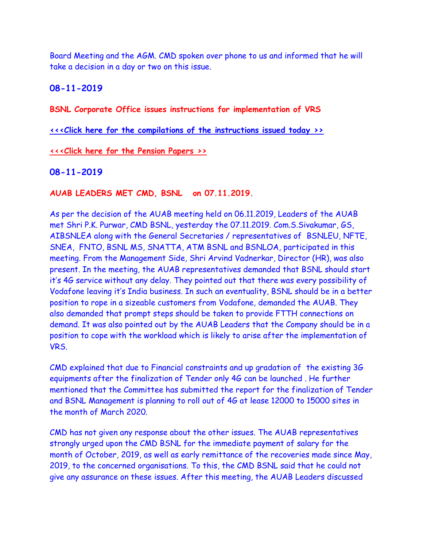Board Meeting and the AGM. CMD spoken over phone to us and informed that he will take a decision in a day or two on this issue.

**08-11-2019**

**BSNL Corporate Office issues instructions for implementation of VRS**

**[<<<Click here for the compilations of the instructions issued today >>](http://www.aibsnleachq.in/VRS%20Instructions.pdf)**

**[<<<Click here for the Pension Papers >>](http://www.aibsnleachq.in/Pension%20Form.pdf)**

#### **08-11-2019**

#### **AUAB LEADERS MET CMD, BSNL on 07.11.2019.**

As per the decision of the AUAB meeting held on 06.11.2019, Leaders of the AUAB met Shri P.K. Purwar, CMD BSNL, yesterday the 07.11.2019. Com.S.Sivakumar, GS, AIBSNLEA along with the General Secretaries / representatives of BSNLEU, NFTE, SNEA, FNTO, BSNL MS, SNATTA, ATM BSNL and BSNLOA, participated in this meeting. From the Management Side, Shri Arvind Vadnerkar, Director (HR), was also present. In the meeting, the AUAB representatives demanded that BSNL should start it's 4G service without any delay. They pointed out that there was every possibility of Vodafone leaving it's India business. In such an eventuality, BSNL should be in a better position to rope in a sizeable customers from Vodafone, demanded the AUAB. They also demanded that prompt steps should be taken to provide FTTH connections on demand. It was also pointed out by the AUAB Leaders that the Company should be in a position to cope with the workload which is likely to arise after the implementation of VRS.

CMD explained that due to Financial constraints and up gradation of the existing 3G equipments after the finalization of Tender only 4G can be launched . He further mentioned that the Committee has submitted the report for the finalization of Tender and BSNL Management is planning to roll out of 4G at lease 12000 to 15000 sites in the month of March 2020.

CMD has not given any response about the other issues. The AUAB representatives strongly urged upon the CMD BSNL for the immediate payment of salary for the month of October, 2019, as well as early remittance of the recoveries made since May, 2019, to the concerned organisations. To this, the CMD BSNL said that he could not give any assurance on these issues. After this meeting, the AUAB Leaders discussed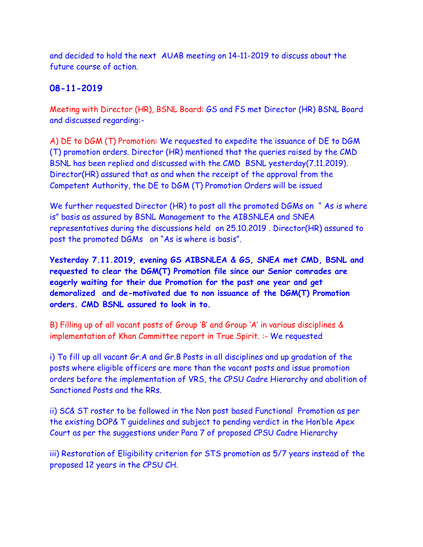and decided to hold the next AUAB meeting on 14-11-2019 to discuss about the future course of action.

## **08-11-2019**

Meeting with Director (HR), BSNL Board: GS and FS met Director (HR) BSNL Board and discussed regarding:-

A) DE to DGM (T) Promotion: We requested to expedite the issuance of DE to DGM (T) promotion orders. Director (HR) mentioned that the queries raised by the CMD BSNL has been replied and discussed with the CMD BSNL yesterday(7.11.2019). Director(HR) assured that as and when the receipt of the approval from the Competent Authority, the DE to DGM (T) Promotion Orders will be issued

We further requested Director (HR) to post all the promoted DGMs on "As is where is" basis as assured by BSNL Management to the AIBSNLEA and SNEA representatives during the discussions held on 25.10.2019 . Director(HR) assured to post the promoted DGMs on "As is where is basis".

**Yesterday 7.11.2019, evening GS AIBSNLEA & GS, SNEA met CMD, BSNL and requested to clear the DGM(T) Promotion file since our Senior comrades are eagerly waiting for their due Promotion for the past one year and get demoralized and de-motivated due to non issuance of the DGM(T) Promotion orders. CMD BSNL assured to look in to.**

B) Filling up of all vacant posts of Group 'B' and Group 'A' in various disciplines & implementation of Khan Committee report in True Spirit. :- We requested

i) To fill up all vacant Gr.A and Gr.B Posts in all disciplines and up gradation of the posts where eligible officers are more than the vacant posts and issue promotion orders before the implementation of VRS, the CPSU Cadre Hierarchy and abolition of Sanctioned Posts and the RRs.

ii) SC& ST roster to be followed in the Non post based Functional Promotion as per the existing DOP& T guidelines and subject to pending verdict in the Hon'ble Apex Court as per the suggestions under Para 7 of proposed CPSU Cadre Hierarchy

iii) Restoration of Eligibility criterion for STS promotion as 5/7 years instead of the proposed 12 years in the CPSU CH.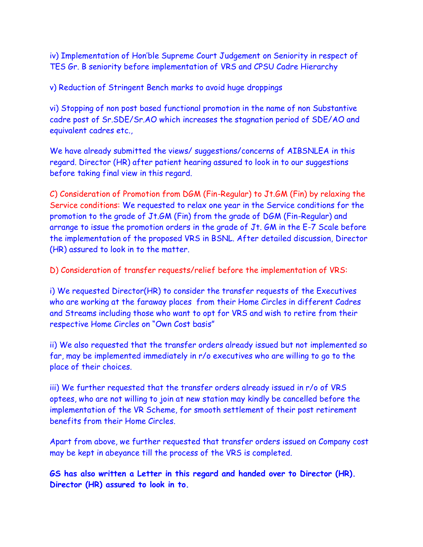iv) Implementation of Hon'ble Supreme Court Judgement on Seniority in respect of TES Gr. B seniority before implementation of VRS and CPSU Cadre Hierarchy

v) Reduction of Stringent Bench marks to avoid huge droppings

vi) Stopping of non post based functional promotion in the name of non Substantive cadre post of Sr.SDE/Sr.AO which increases the stagnation period of SDE/AO and equivalent cadres etc.,

We have already submitted the views/ suggestions/concerns of AIBSNLEA in this regard. Director (HR) after patient hearing assured to look in to our suggestions before taking final view in this regard.

C) Consideration of Promotion from DGM (Fin-Regular) to Jt.GM (Fin) by relaxing the Service conditions: We requested to relax one year in the Service conditions for the promotion to the grade of Jt.GM (Fin) from the grade of DGM (Fin-Regular) and arrange to issue the promotion orders in the grade of Jt. GM in the E-7 Scale before the implementation of the proposed VRS in BSNL. After detailed discussion, Director (HR) assured to look in to the matter.

D) Consideration of transfer requests/relief before the implementation of VRS:

i) We requested Director(HR) to consider the transfer requests of the Executives who are working at the faraway places from their Home Circles in different Cadres and Streams including those who want to opt for VRS and wish to retire from their respective Home Circles on "Own Cost basis"

ii) We also requested that the transfer orders already issued but not implemented so far, may be implemented immediately in r/o executives who are willing to go to the place of their choices.

iii) We further requested that the transfer orders already issued in r/o of VRS optees, who are not willing to join at new station may kindly be cancelled before the implementation of the VR Scheme, for smooth settlement of their post retirement benefits from their Home Circles.

Apart from above, we further requested that transfer orders issued on Company cost may be kept in abeyance till the process of the VRS is completed.

**GS has also written a Letter in this regard and handed over to Director (HR). Director (HR) assured to look in to.**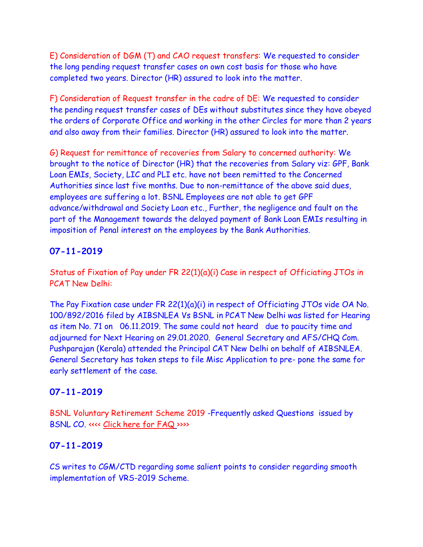E) Consideration of DGM (T) and CAO request transfers: We requested to consider the long pending request transfer cases on own cost basis for those who have completed two years. Director (HR) assured to look into the matter.

F) Consideration of Request transfer in the cadre of DE: We requested to consider the pending request transfer cases of DEs without substitutes since they have obeyed the orders of Corporate Office and working in the other Circles for more than 2 years and also away from their families. Director (HR) assured to look into the matter.

G) Request for remittance of recoveries from Salary to concerned authority: We brought to the notice of Director (HR) that the recoveries from Salary viz: GPF, Bank Loan EMIs, Society, LIC and PLI etc. have not been remitted to the Concerned Authorities since last five months. Due to non-remittance of the above said dues, employees are suffering a lot. BSNL Employees are not able to get GPF advance/withdrawal and Society Loan etc., Further, the negligence and fault on the part of the Management towards the delayed payment of Bank Loan EMIs resulting in imposition of Penal interest on the employees by the Bank Authorities.

# **07-11-2019**

Status of Fixation of Pay under FR 22(1)(a)(i) Case in respect of Officiating JTOs in PCAT New Delhi:

The Pay Fixation case under FR 22(1)(a)(i) in respect of Officiating JTOs vide OA No. 100/892/2016 filed by AIBSNLEA Vs BSNL in PCAT New Delhi was listed for Hearing as item No. 71 on 06.11.2019. The same could not heard due to paucity time and adjourned for Next Hearing on 29.01.2020. General Secretary and AFS/CHQ Com. Pushparajan (Kerala) attended the Principal CAT New Delhi on behalf of AIBSNLEA. General Secretary has taken steps to file Misc Application to pre- pone the same for early settlement of the case.

# **07-11-2019**

BSNL Voluntary Retirement Scheme 2019 -Frequently asked Questions issued by BSNL CO. <<<< [Click here for FAQ](http://aibsnleawb.org/vrsfaq07112019.pdf) [>](http://aibsnleawb.org/vrsfaq07112019.pdf)>>>

# **07-11-2019**

CS writes to CGM/CTD regarding some salient points to consider regarding smooth implementation of VRS-2019 Scheme.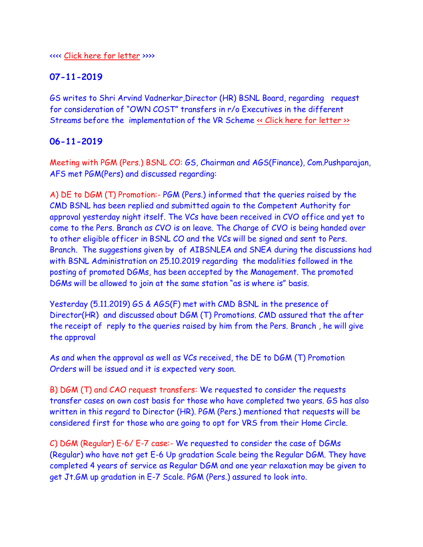#### <<<< [Click here for letter](http://aibsnleawb.org/CGM%20letter%20(on%20VRS%202019).pdf) >>>>

# **07-11-2019**

GS writes to Shri Arvind Vadnerkar,Director (HR) BSNL Board, regarding request for consideration of "OWN COST" transfers in r/o Executives in the different Streams before the implementation of the VR Scheme « Click here for letter »

# **06-11-2019**

Meeting with PGM (Pers.) BSNL CO: GS, Chairman and AGS(Finance), Com.Pushparajan, AFS met PGM(Pers) and discussed regarding:

A) DE to DGM (T) Promotion:- PGM (Pers.) informed that the queries raised by the CMD BSNL has been replied and submitted again to the Competent Authority for approval yesterday night itself. The VCs have been received in CVO office and yet to come to the Pers. Branch as CVO is on leave. The Charge of CVO is being handed over to other eligible officer in BSNL CO and the VCs will be signed and sent to Pers. Branch. The suggestions given by of AIBSNLEA and SNEA during the discussions had with BSNL Administration on 25.10.2019 regarding the modalities followed in the posting of promoted DGMs, has been accepted by the Management. The promoted DGMs will be allowed to join at the same station "as is where is" basis.

Yesterday (5.11.2019) GS & AGS(F) met with CMD BSNL in the presence of Director(HR) and discussed about DGM (T) Promotions. CMD assured that the after the receipt of reply to the queries raised by him from the Pers. Branch , he will give the approval

As and when the approval as well as VCs received, the DE to DGM (T) Promotion Orders will be issued and it is expected very soon.

B) DGM (T) and CAO request transfers: We requested to consider the requests transfer cases on own cost basis for those who have completed two years. GS has also written in this regard to Director (HR). PGM (Pers.) mentioned that requests will be considered first for those who are going to opt for VRS from their Home Circle.

C) DGM (Regular) E-6/ E-7 case:- We requested to consider the case of DGMs (Regular) who have not get E-6 Up gradation Scale being the Regular DGM. They have completed 4 years of service as Regular DGM and one year relaxation may be given to get Jt.GM up gradation in E-7 Scale. PGM (Pers.) assured to look into.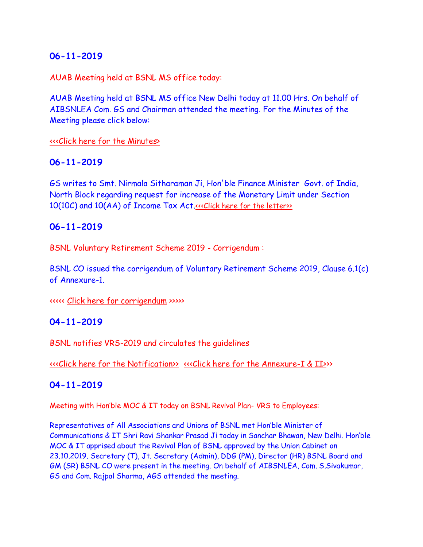AUAB Meeting held at BSNL MS office today:

AUAB Meeting held at BSNL MS office New Delhi today at 11.00 Hrs. On behalf of AIBSNLEA Com. GS and Chairman attended the meeting. For the Minutes of the Meeting please click below:

#### [<<<Click here for the Minutes>](http://www.aibsnleachq.in/AUAB%20circular%20dated%2006.11.2019.pdf)

#### **06-11-2019**

GS writes to Smt. Nirmala Sitharaman Ji, Hon'ble Finance Minister Govt. of India, North Block regarding request for increase of the Monetary Limit under Section 10(10C) and 10(AA) of Income Tax Act. «Click here for the letter»

## **06-11-2019**

BSNL Voluntary Retirement Scheme 2019 - Corrigendum :

BSNL CO issued the corrigendum of Voluntary Retirement Scheme 2019, Clause 6.1(c) of Annexure-1.

<<<<< [Click here for](Corringdum%20dt%2005112019.pdf) corrigendum >>>>>

#### **04-11-2019**

BSNL notifies VRS-2019 and circulates the guidelines

[<<<Click here for the Notification>>](http://www.aibsnleachq.in/vrsfwdltr04112019.pdf) [<<<Click here for the Annexure-I & II>>](http://www.aibsnleachq.in/2annexure1.pdf)>

#### **04-11-2019**

Meeting with Hon'ble MOC & IT today on BSNL Revival Plan- VRS to Employees:

Representatives of All Associations and Unions of BSNL met Hon'ble Minister of Communications & IT Shri Ravi Shankar Prasad Ji today in Sanchar Bhawan, New Delhi. Hon'ble MOC & IT apprised about the Revival Plan of BSNL approved by the Union Cabinet on 23.10.2019. Secretary (T), Jt. Secretary (Admin), DDG (PM), Director (HR) BSNL Board and GM (SR) BSNL CO were present in the meeting. On behalf of AIBSNLEA, Com. S.Sivakumar, GS and Com. Rajpal Sharma, AGS attended the meeting.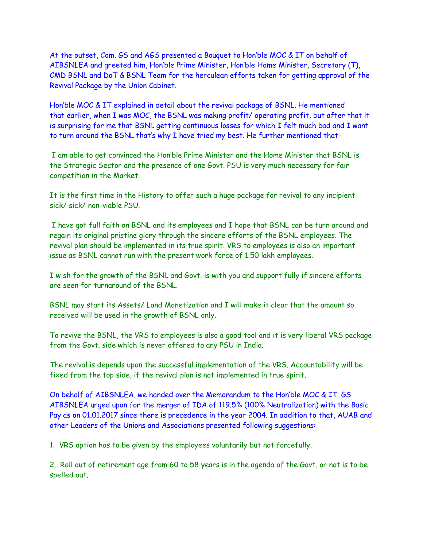At the outset, Com. GS and AGS presented a Bouquet to Hon'ble MOC & IT on behalf of AIBSNLEA and greeted him, Hon'ble Prime Minister, Hon'ble Home Minister, Secretary (T), CMD BSNL and DoT & BSNL Team for the herculean efforts taken for getting approval of the Revival Package by the Union Cabinet.

Hon'ble MOC & IT explained in detail about the revival package of BSNL. He mentioned that earlier, when I was MOC, the BSNL was making profit/ operating profit, but after that it is surprising for me that BSNL getting continuous losses for which I felt much bad and I want to turn around the BSNL that's why I have tried my best. He further mentioned that-

I am able to get convinced the Hon'ble Prime Minister and the Home Minister that BSNL is the Strategic Sector and the presence of one Govt. PSU is very much necessary for fair competition in the Market.

It is the first time in the History to offer such a huge package for revival to any incipient sick/ sick/ non-viable PSU.

I have got full faith on BSNL and its employees and I hope that BSNL can be turn around and regain its original pristine glory through the sincere efforts of the BSNL employees. The revival plan should be implemented in its true spirit. VRS to employees is also an important issue as BSNL cannot run with the present work force of 1.50 lakh employees.

I wish for the growth of the BSNL and Govt. is with you and support fully if sincere efforts are seen for turnaround of the BSNL.

BSNL may start its Assets/ Land Monetization and I will make it clear that the amount so received will be used in the growth of BSNL only.

To revive the BSNL, the VRS to employees is also a good tool and it is very liberal VRS package from the Govt. side which is never offered to any PSU in India.

The revival is depends upon the successful implementation of the VRS. Accountability will be fixed from the top side, if the revival plan is not implemented in true spirit.

On behalf of AIBSNLEA, we handed over the Memorandum to the Hon'ble MOC & IT. GS AIBSNLEA urged upon for the merger of IDA of 119.5% (100% Neutralization) with the Basic Pay as on 01.01.2017 since there is precedence in the year 2004. In addition to that, AUAB and other Leaders of the Unions and Associations presented following suggestions:

1. VRS option has to be given by the employees voluntarily but not forcefully.

2. Roll out of retirement age from 60 to 58 years is in the agenda of the Govt. or not is to be spelled out.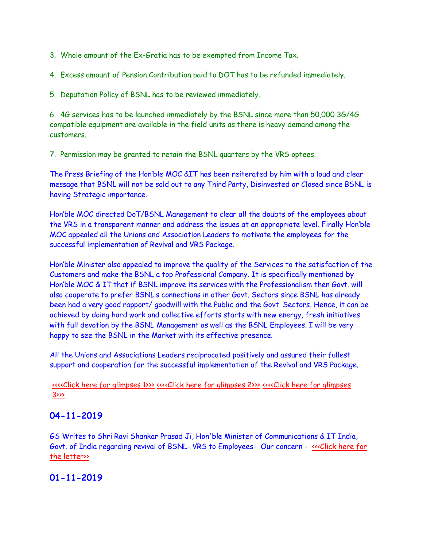3. Whole amount of the Ex-Gratia has to be exempted from Income Tax.

4. Excess amount of Pension Contribution paid to DOT has to be refunded immediately.

5. Deputation Policy of BSNL has to be reviewed immediately.

6. 4G services has to be launched immediately by the BSNL since more than 50,000 3G/4G compatible equipment are available in the field units as there is heavy demand among the customers.

7. Permission may be granted to retain the BSNL quarters by the VRS optees.

The Press Briefing of the Hon'ble MOC &IT has been reiterated by him with a loud and clear message that BSNL will not be sold out to any Third Party, Disinvested or Closed since BSNL is having Strategic importance.

Hon'ble MOC directed DoT/BSNL Management to clear all the doubts of the employees about the VRS in a transparent manner and address the issues at an appropriate level. Finally Hon'ble MOC appealed all the Unions and Association Leaders to motivate the employees for the successful implementation of Revival and VRS Package.

Hon'ble Minister also appealed to improve the quality of the Services to the satisfaction of the Customers and make the BSNL a top Professional Company. It is specifically mentioned by Hon'ble MOC & IT that if BSNL improve its services with the Professionalism then Govt. will also cooperate to prefer BSNL's connections in other Govt. Sectors since BSNL has already been had a very good rapport/ goodwill with the Public and the Govt. Sectors. Hence, it can be achieved by doing hard work and collective efforts starts with new energy, fresh initiatives with full devotion by the BSNL Management as well as the BSNL Employees. I will be very happy to see the BSNL in the Market with its effective presence.

All the Unions and Associations Leaders reciprocated positively and assured their fullest support and cooperation for the successful implementation of the Revival and VRS Package.

[<<<<Click here for glimpses 1>>>](http://www.aibsnleachq.in/MOC_Meeting.jpg) [<<<<Click here for glimpses 2>>>](http://www.aibsnleachq.in/GS_MOC2.jpg) [<<<<Click here for glimpses](http://www.aibsnleachq.in/IMG20191104152933.jpg)  [3>>>](http://www.aibsnleachq.in/IMG20191104152933.jpg) 

## **04-11-2019**

GS Writes to Shri Ravi Shankar Prasad Ji, Hon'ble Minister of Communications & IT India, Govt. of India regarding revival of BSNL-VRS to Employees- Our concern - «<< Click here for the letter»

# **01-11-2019**